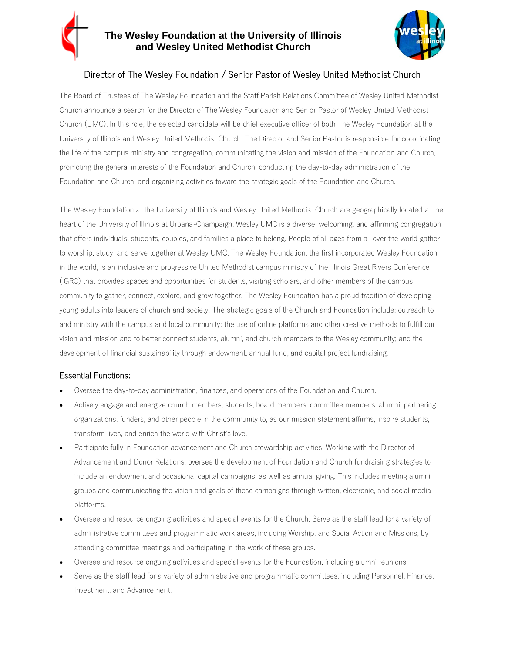## **The Wesley Foundation at the University of Illinois and Wesley United Methodist Church**



# Director of The Wesley Foundation / Senior Pastor of Wesley United Methodist Church

The Board of Trustees of The Wesley Foundation and the Staff Parish Relations Committee of Wesley United Methodist Church announce a search for the Director of The Wesley Foundation and Senior Pastor of Wesley United Methodist Church (UMC). In this role, the selected candidate will be chief executive officer of both The Wesley Foundation at the University of Illinois and Wesley United Methodist Church. The Director and Senior Pastor is responsible for coordinating the life of the campus ministry and congregation, communicating the vision and mission of the Foundation and Church, promoting the general interests of the Foundation and Church, conducting the day-to-day administration of the Foundation and Church, and organizing activities toward the strategic goals of the Foundation and Church.

The Wesley Foundation at the University of Illinois and Wesley United Methodist Church are geographically located at the heart of the University of Illinois at Urbana-Champaign. Wesley UMC is a diverse, welcoming, and affirming congregation that offers individuals, students, couples, and families a place to belong. People of all ages from all over the world gather to worship, study, and serve together at Wesley UMC. The Wesley Foundation, the first incorporated Wesley Foundation in the world, is an inclusive and progressive United Methodist campus ministry of the Illinois Great Rivers Conference (IGRC) that provides spaces and opportunities for students, visiting scholars, and other members of the campus community to gather, connect, explore, and grow together. The Wesley Foundation has a proud tradition of developing young adults into leaders of church and society. The strategic goals of the Church and Foundation include: outreach to and ministry with the campus and local community; the use of online platforms and other creative methods to fulfill our vision and mission and to better connect students, alumni, and church members to the Wesley community; and the development of financial sustainability through endowment, annual fund, and capital project fundraising.

## Essential Functions:

- Oversee the day-to-day administration, finances, and operations of the Foundation and Church.
- Actively engage and energize church members, students, board members, committee members, alumni, partnering organizations, funders, and other people in the community to, as our mission statement affirms, inspire students, transform lives, and enrich the world with Christ's love.
- Participate fully in Foundation advancement and Church stewardship activities. Working with the Director of Advancement and Donor Relations, oversee the development of Foundation and Church fundraising strategies to include an endowment and occasional capital campaigns, as well as annual giving. This includes meeting alumni groups and communicating the vision and goals of these campaigns through written, electronic, and social media platforms.
- Oversee and resource ongoing activities and special events for the Church. Serve as the staff lead for a variety of administrative committees and programmatic work areas, including Worship, and Social Action and Missions, by attending committee meetings and participating in the work of these groups.
- Oversee and resource ongoing activities and special events for the Foundation, including alumni reunions.
- Serve as the staff lead for a variety of administrative and programmatic committees, including Personnel, Finance, Investment, and Advancement.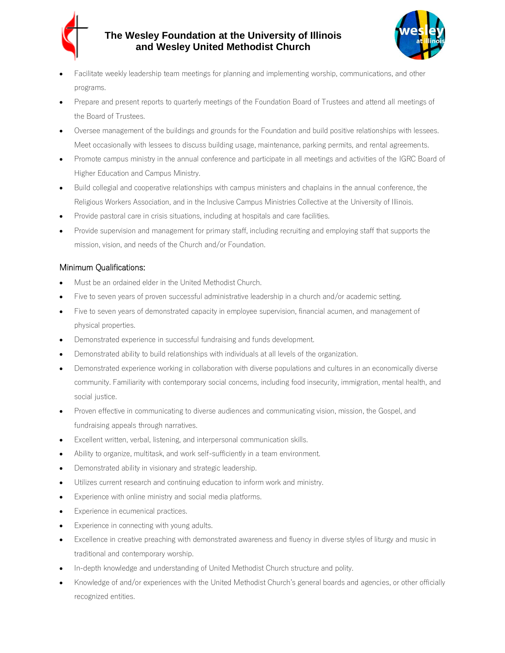

# **The Wesley Foundation at the University of Illinois and Wesley United Methodist Church**



- Facilitate weekly leadership team meetings for planning and implementing worship, communications, and other programs.
- Prepare and present reports to quarterly meetings of the Foundation Board of Trustees and attend all meetings of the Board of Trustees.
- Oversee management of the buildings and grounds for the Foundation and build positive relationships with lessees. Meet occasionally with lessees to discuss building usage, maintenance, parking permits, and rental agreements.
- Promote campus ministry in the annual conference and participate in all meetings and activities of the IGRC Board of Higher Education and Campus Ministry.
- Build collegial and cooperative relationships with campus ministers and chaplains in the annual conference, the Religious Workers Association, and in the Inclusive Campus Ministries Collective at the University of Illinois.
- Provide pastoral care in crisis situations, including at hospitals and care facilities.
- Provide supervision and management for primary staff, including recruiting and employing staff that supports the mission, vision, and needs of the Church and/or Foundation.

### Minimum Qualifications:

- Must be an ordained elder in the United Methodist Church.
- Five to seven years of proven successful administrative leadership in a church and/or academic setting.
- Five to seven years of demonstrated capacity in employee supervision, financial acumen, and management of physical properties.
- Demonstrated experience in successful fundraising and funds development.
- Demonstrated ability to build relationships with individuals at all levels of the organization.
- Demonstrated experience working in collaboration with diverse populations and cultures in an economically diverse community. Familiarity with contemporary social concerns, including food insecurity, immigration, mental health, and social justice.
- Proven effective in communicating to diverse audiences and communicating vision, mission, the Gospel, and fundraising appeals through narratives.
- Excellent written, verbal, listening, and interpersonal communication skills.
- Ability to organize, multitask, and work self-sufficiently in a team environment.
- Demonstrated ability in visionary and strategic leadership.
- Utilizes current research and continuing education to inform work and ministry.
- Experience with online ministry and social media platforms.
- Experience in ecumenical practices.
- Experience in connecting with young adults.
- Excellence in creative preaching with demonstrated awareness and fluency in diverse styles of liturgy and music in traditional and contemporary worship.
- In-depth knowledge and understanding of United Methodist Church structure and polity.
- Knowledge of and/or experiences with the United Methodist Church's general boards and agencies, or other officially recognized entities.